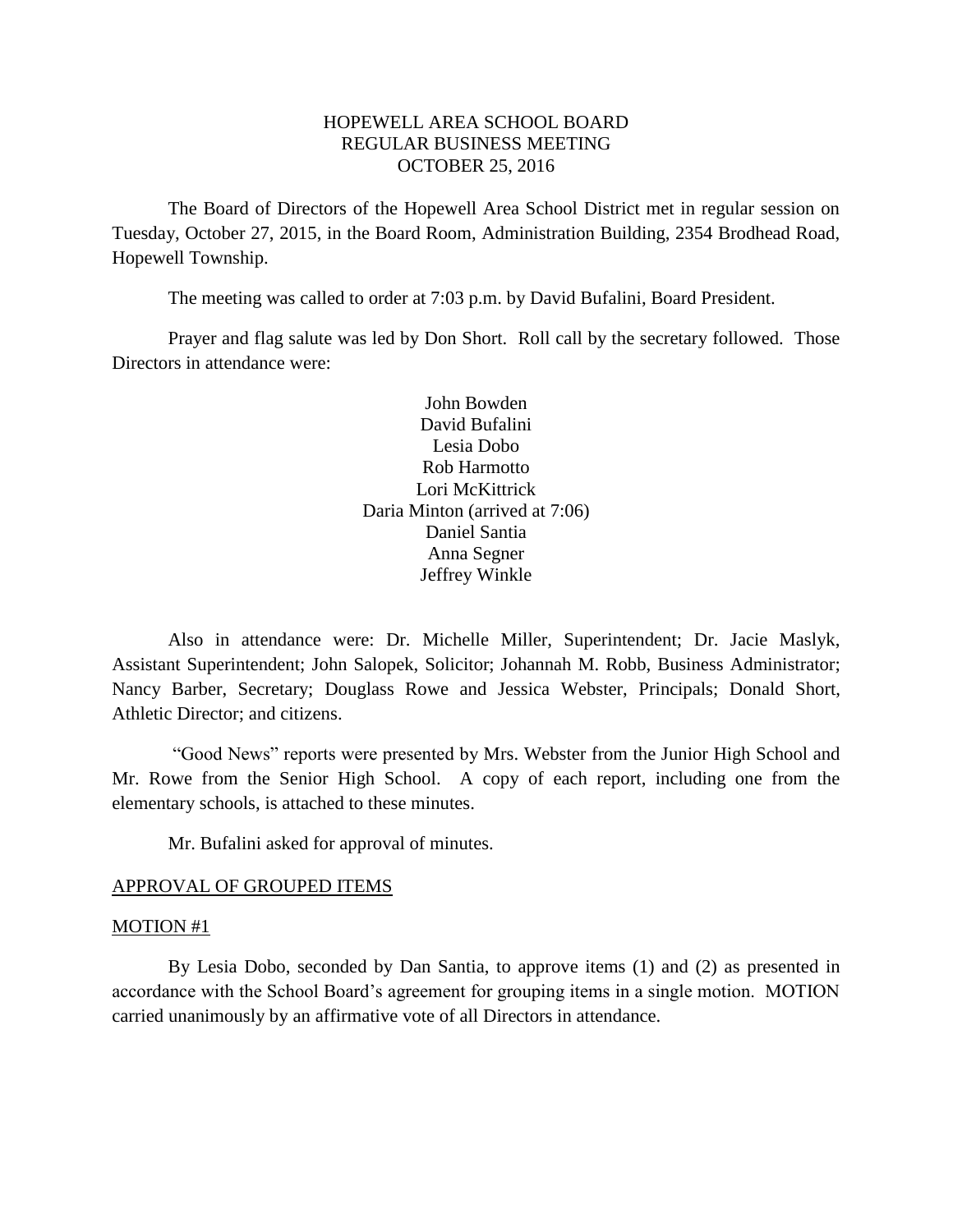# HOPEWELL AREA SCHOOL BOARD REGULAR BUSINESS MEETING OCTOBER 25, 2016

The Board of Directors of the Hopewell Area School District met in regular session on Tuesday, October 27, 2015, in the Board Room, Administration Building, 2354 Brodhead Road, Hopewell Township.

The meeting was called to order at 7:03 p.m. by David Bufalini, Board President.

Prayer and flag salute was led by Don Short. Roll call by the secretary followed. Those Directors in attendance were:

> John Bowden David Bufalini Lesia Dobo Rob Harmotto Lori McKittrick Daria Minton (arrived at 7:06) Daniel Santia Anna Segner Jeffrey Winkle

Also in attendance were: Dr. Michelle Miller, Superintendent; Dr. Jacie Maslyk, Assistant Superintendent; John Salopek, Solicitor; Johannah M. Robb, Business Administrator; Nancy Barber, Secretary; Douglass Rowe and Jessica Webster, Principals; Donald Short, Athletic Director; and citizens.

"Good News" reports were presented by Mrs. Webster from the Junior High School and Mr. Rowe from the Senior High School. A copy of each report, including one from the elementary schools, is attached to these minutes.

Mr. Bufalini asked for approval of minutes.

#### APPROVAL OF GROUPED ITEMS

#### MOTION #1

By Lesia Dobo, seconded by Dan Santia, to approve items (1) and (2) as presented in accordance with the School Board's agreement for grouping items in a single motion. MOTION carried unanimously by an affirmative vote of all Directors in attendance.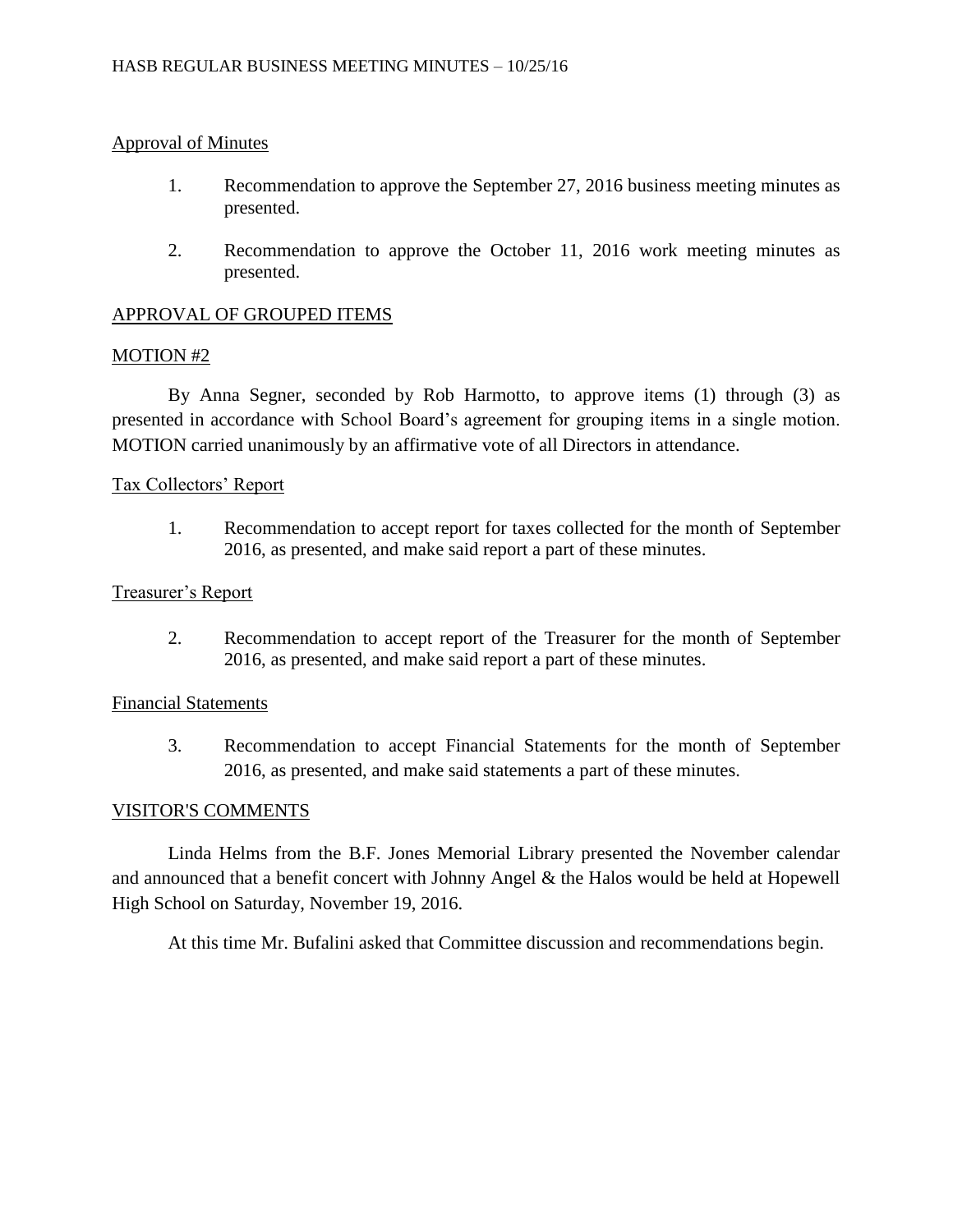## Approval of Minutes

- 1. Recommendation to approve the September 27, 2016 business meeting minutes as presented.
- 2. Recommendation to approve the October 11, 2016 work meeting minutes as presented.

## APPROVAL OF GROUPED ITEMS

### MOTION #2

By Anna Segner, seconded by Rob Harmotto, to approve items (1) through (3) as presented in accordance with School Board's agreement for grouping items in a single motion. MOTION carried unanimously by an affirmative vote of all Directors in attendance.

### Tax Collectors' Report

1. Recommendation to accept report for taxes collected for the month of September 2016, as presented, and make said report a part of these minutes.

### Treasurer's Report

2. Recommendation to accept report of the Treasurer for the month of September 2016, as presented, and make said report a part of these minutes.

### Financial Statements

3. Recommendation to accept Financial Statements for the month of September 2016, as presented, and make said statements a part of these minutes.

### VISITOR'S COMMENTS

Linda Helms from the B.F. Jones Memorial Library presented the November calendar and announced that a benefit concert with Johnny Angel & the Halos would be held at Hopewell High School on Saturday, November 19, 2016.

At this time Mr. Bufalini asked that Committee discussion and recommendations begin.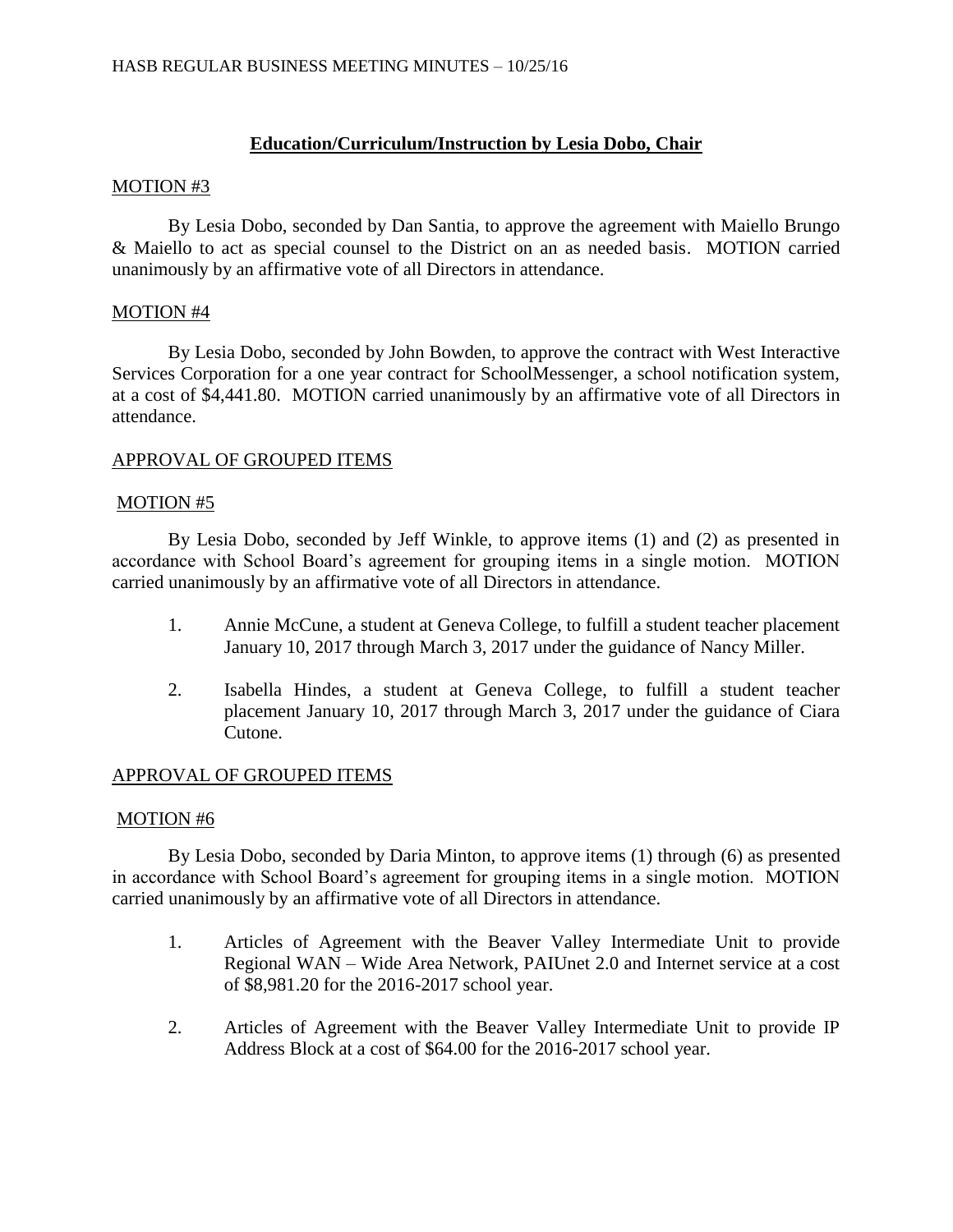# **Education/Curriculum/Instruction by Lesia Dobo, Chair**

### MOTION #3

By Lesia Dobo, seconded by Dan Santia, to approve the agreement with Maiello Brungo & Maiello to act as special counsel to the District on an as needed basis. MOTION carried unanimously by an affirmative vote of all Directors in attendance.

# MOTION #4

By Lesia Dobo, seconded by John Bowden, to approve the contract with West Interactive Services Corporation for a one year contract for SchoolMessenger, a school notification system, at a cost of \$4,441.80. MOTION carried unanimously by an affirmative vote of all Directors in attendance.

# APPROVAL OF GROUPED ITEMS

### MOTION #5

By Lesia Dobo, seconded by Jeff Winkle, to approve items (1) and (2) as presented in accordance with School Board's agreement for grouping items in a single motion. MOTION carried unanimously by an affirmative vote of all Directors in attendance.

- 1. Annie McCune, a student at Geneva College, to fulfill a student teacher placement January 10, 2017 through March 3, 2017 under the guidance of Nancy Miller.
- 2. Isabella Hindes, a student at Geneva College, to fulfill a student teacher placement January 10, 2017 through March 3, 2017 under the guidance of Ciara Cutone.

# APPROVAL OF GROUPED ITEMS

### MOTION #6

By Lesia Dobo, seconded by Daria Minton, to approve items (1) through (6) as presented in accordance with School Board's agreement for grouping items in a single motion. MOTION carried unanimously by an affirmative vote of all Directors in attendance.

- 1. Articles of Agreement with the Beaver Valley Intermediate Unit to provide Regional WAN – Wide Area Network, PAIUnet 2.0 and Internet service at a cost of \$8,981.20 for the 2016-2017 school year.
- 2. Articles of Agreement with the Beaver Valley Intermediate Unit to provide IP Address Block at a cost of \$64.00 for the 2016-2017 school year.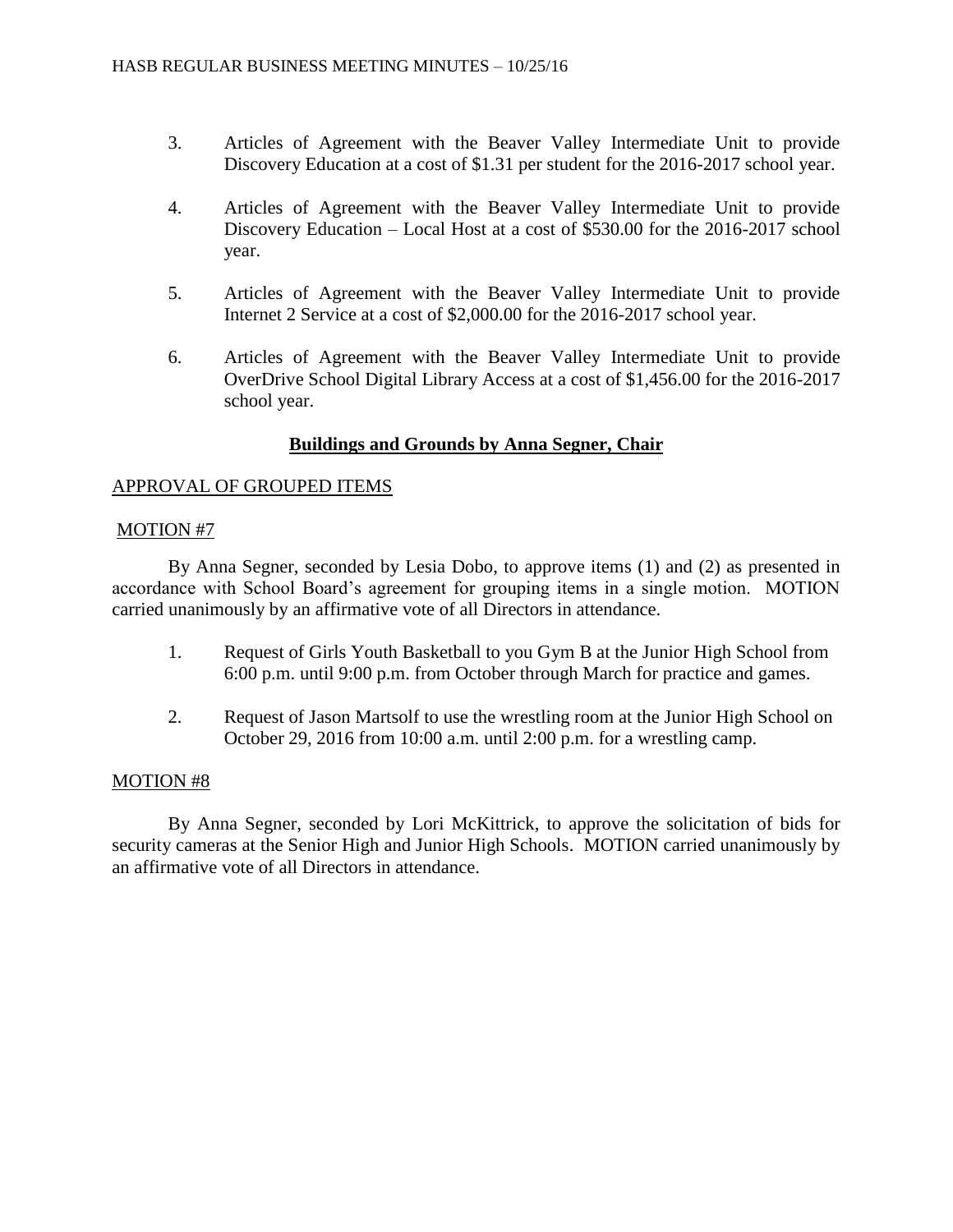- 3. Articles of Agreement with the Beaver Valley Intermediate Unit to provide Discovery Education at a cost of \$1.31 per student for the 2016-2017 school year.
- 4. Articles of Agreement with the Beaver Valley Intermediate Unit to provide Discovery Education – Local Host at a cost of \$530.00 for the 2016-2017 school year.
- 5. Articles of Agreement with the Beaver Valley Intermediate Unit to provide Internet 2 Service at a cost of \$2,000.00 for the 2016-2017 school year.
- 6. Articles of Agreement with the Beaver Valley Intermediate Unit to provide OverDrive School Digital Library Access at a cost of \$1,456.00 for the 2016-2017 school year.

# **Buildings and Grounds by Anna Segner, Chair**

# APPROVAL OF GROUPED ITEMS

# MOTION #7

By Anna Segner, seconded by Lesia Dobo, to approve items (1) and (2) as presented in accordance with School Board's agreement for grouping items in a single motion. MOTION carried unanimously by an affirmative vote of all Directors in attendance.

- 1. Request of Girls Youth Basketball to you Gym B at the Junior High School from 6:00 p.m. until 9:00 p.m. from October through March for practice and games.
- 2. Request of Jason Martsolf to use the wrestling room at the Junior High School on October 29, 2016 from 10:00 a.m. until 2:00 p.m. for a wrestling camp.

# MOTION #8

By Anna Segner, seconded by Lori McKittrick, to approve the solicitation of bids for security cameras at the Senior High and Junior High Schools. MOTION carried unanimously by an affirmative vote of all Directors in attendance.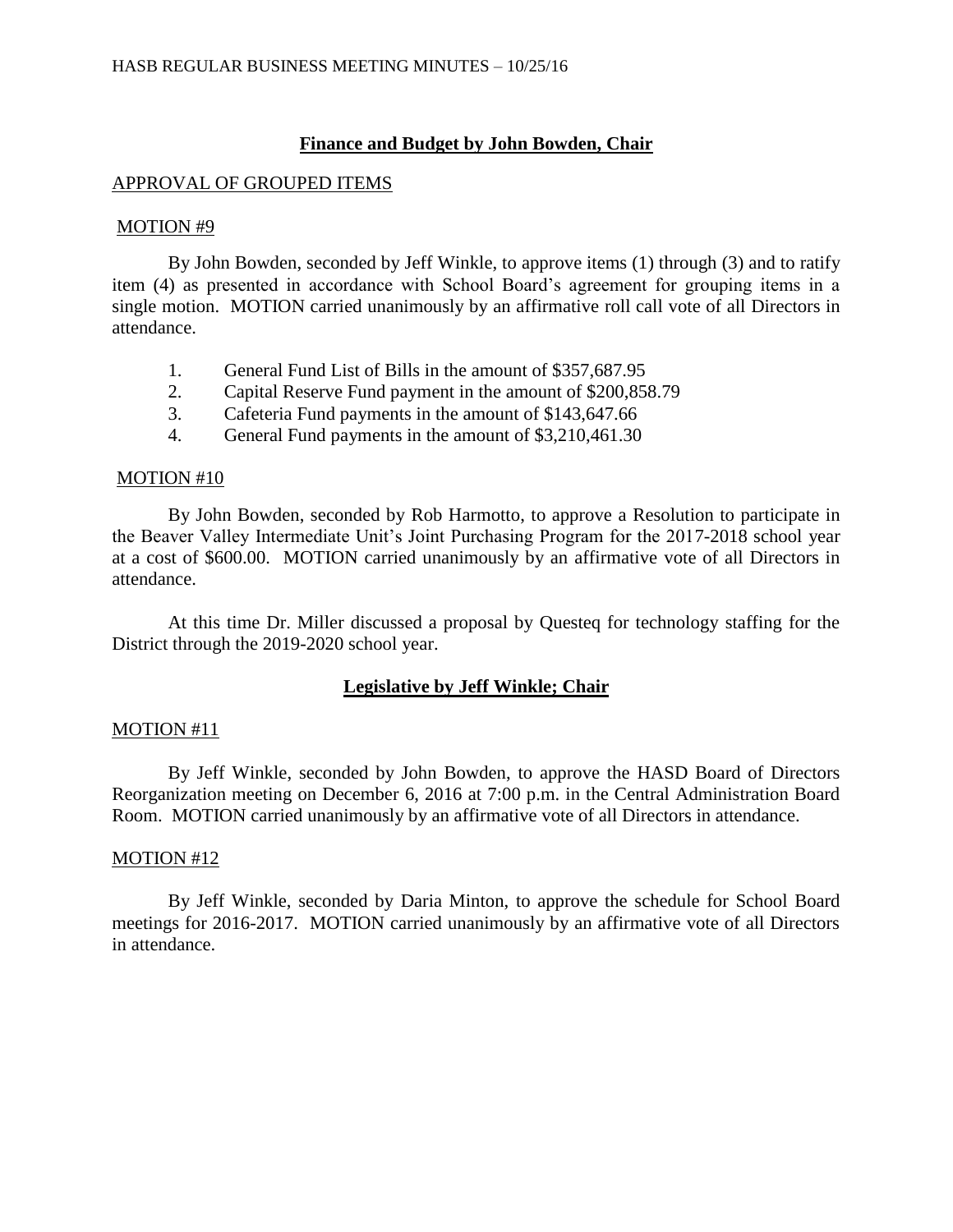## **Finance and Budget by John Bowden, Chair**

### APPROVAL OF GROUPED ITEMS

#### MOTION #9

By John Bowden, seconded by Jeff Winkle, to approve items (1) through (3) and to ratify item (4) as presented in accordance with School Board's agreement for grouping items in a single motion. MOTION carried unanimously by an affirmative roll call vote of all Directors in attendance.

- 1. General Fund List of Bills in the amount of \$357,687.95
- 2. Capital Reserve Fund payment in the amount of \$200,858.79
- 3. Cafeteria Fund payments in the amount of \$143,647.66
- 4. General Fund payments in the amount of \$3,210,461.30

#### MOTION #10

By John Bowden, seconded by Rob Harmotto, to approve a Resolution to participate in the Beaver Valley Intermediate Unit's Joint Purchasing Program for the 2017-2018 school year at a cost of \$600.00. MOTION carried unanimously by an affirmative vote of all Directors in attendance.

At this time Dr. Miller discussed a proposal by Questeq for technology staffing for the District through the 2019-2020 school year.

# **Legislative by Jeff Winkle; Chair**

### MOTION #11

By Jeff Winkle, seconded by John Bowden, to approve the HASD Board of Directors Reorganization meeting on December 6, 2016 at 7:00 p.m. in the Central Administration Board Room. MOTION carried unanimously by an affirmative vote of all Directors in attendance.

### MOTION #12

By Jeff Winkle, seconded by Daria Minton, to approve the schedule for School Board meetings for 2016-2017. MOTION carried unanimously by an affirmative vote of all Directors in attendance.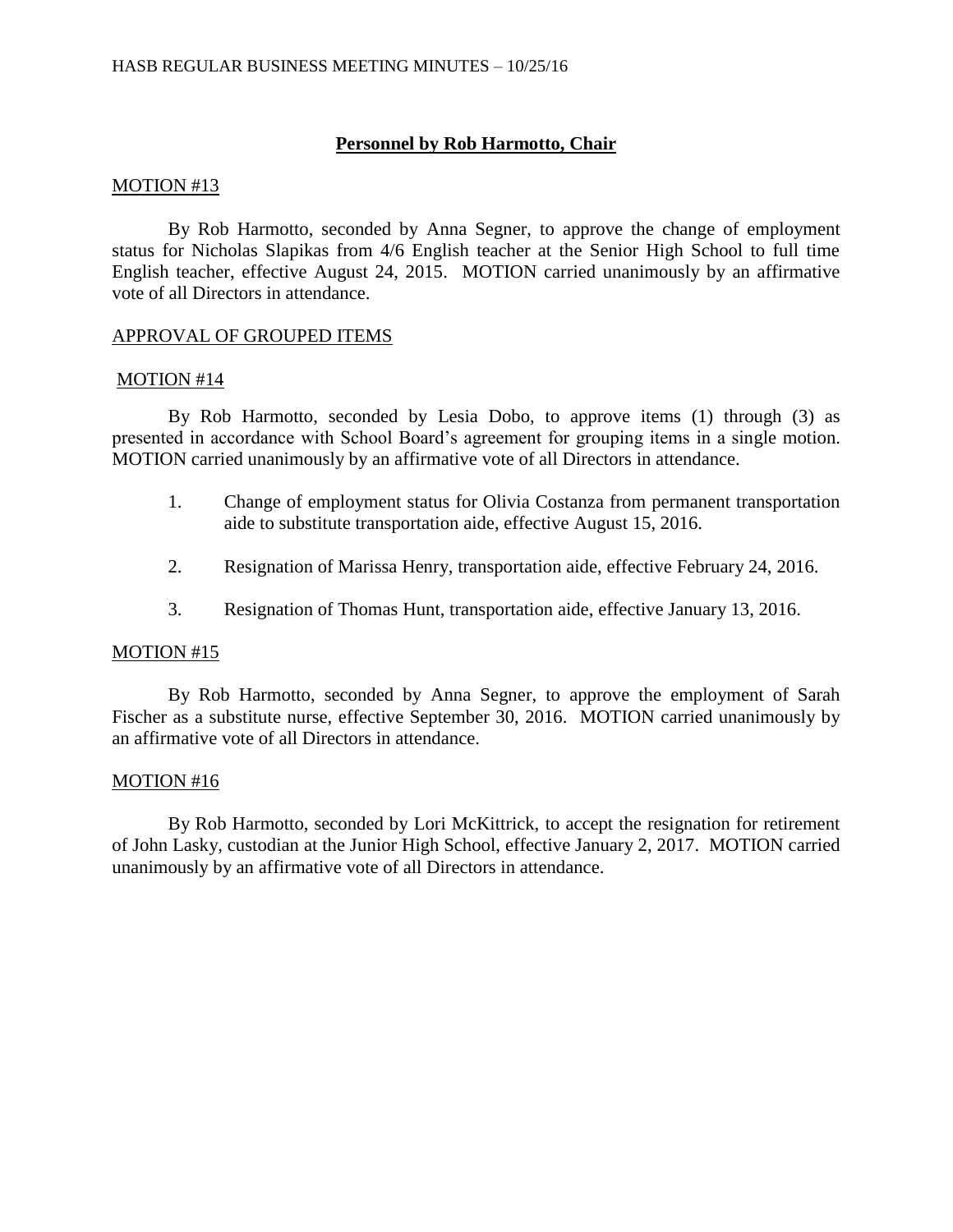## **Personnel by Rob Harmotto, Chair**

#### MOTION #13

By Rob Harmotto, seconded by Anna Segner, to approve the change of employment status for Nicholas Slapikas from 4/6 English teacher at the Senior High School to full time English teacher, effective August 24, 2015. MOTION carried unanimously by an affirmative vote of all Directors in attendance.

### APPROVAL OF GROUPED ITEMS

#### MOTION #14

By Rob Harmotto, seconded by Lesia Dobo, to approve items (1) through (3) as presented in accordance with School Board's agreement for grouping items in a single motion. MOTION carried unanimously by an affirmative vote of all Directors in attendance.

- 1. Change of employment status for Olivia Costanza from permanent transportation aide to substitute transportation aide, effective August 15, 2016.
- 2. Resignation of Marissa Henry, transportation aide, effective February 24, 2016.
- 3. Resignation of Thomas Hunt, transportation aide, effective January 13, 2016.

### MOTION #15

By Rob Harmotto, seconded by Anna Segner, to approve the employment of Sarah Fischer as a substitute nurse, effective September 30, 2016. MOTION carried unanimously by an affirmative vote of all Directors in attendance.

### MOTION #16

By Rob Harmotto, seconded by Lori McKittrick, to accept the resignation for retirement of John Lasky, custodian at the Junior High School, effective January 2, 2017. MOTION carried unanimously by an affirmative vote of all Directors in attendance.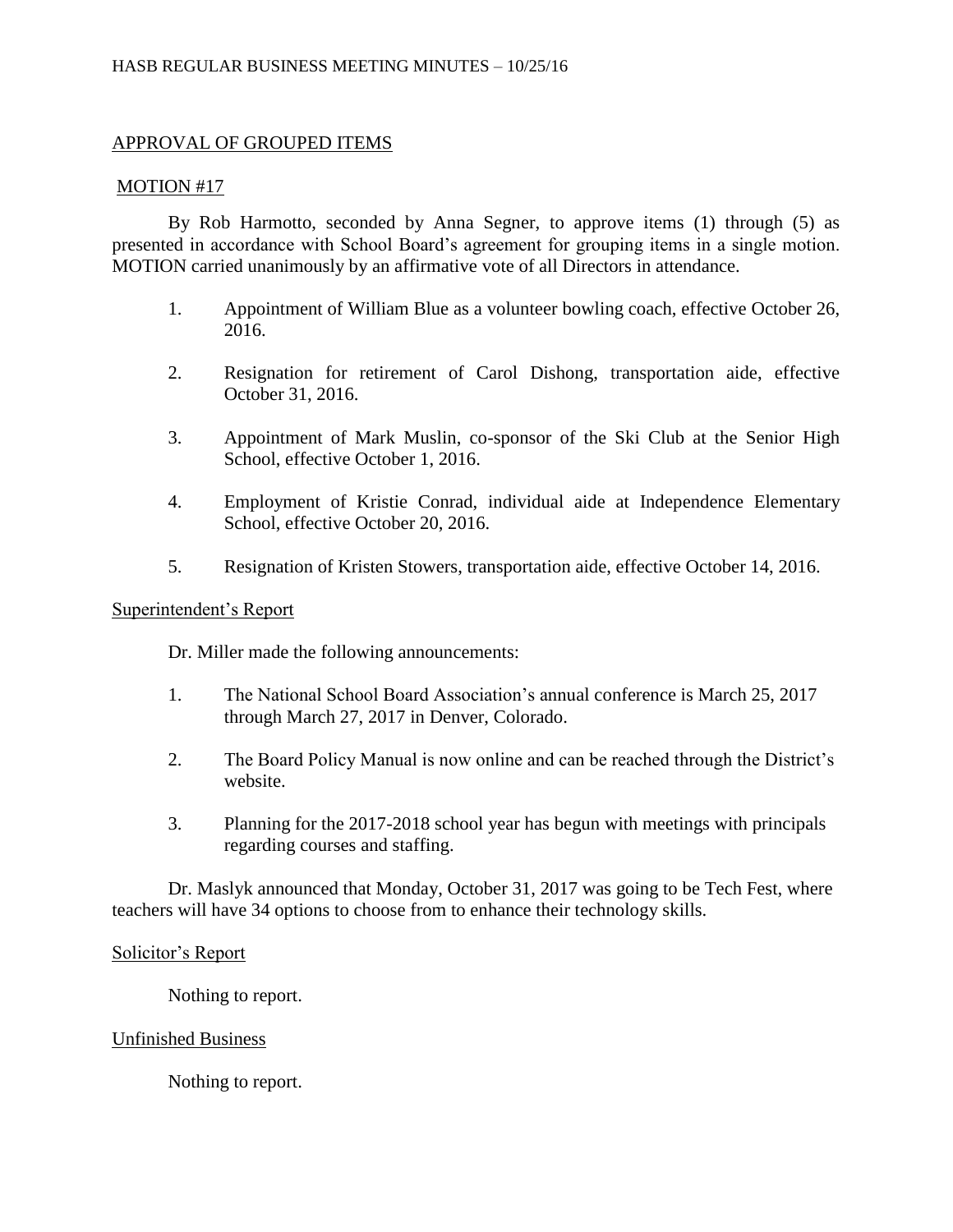# APPROVAL OF GROUPED ITEMS

### MOTION #17

By Rob Harmotto, seconded by Anna Segner, to approve items (1) through (5) as presented in accordance with School Board's agreement for grouping items in a single motion. MOTION carried unanimously by an affirmative vote of all Directors in attendance.

- 1. Appointment of William Blue as a volunteer bowling coach, effective October 26, 2016.
- 2. Resignation for retirement of Carol Dishong, transportation aide, effective October 31, 2016.
- 3. Appointment of Mark Muslin, co-sponsor of the Ski Club at the Senior High School, effective October 1, 2016.
- 4. Employment of Kristie Conrad, individual aide at Independence Elementary School, effective October 20, 2016.
- 5. Resignation of Kristen Stowers, transportation aide, effective October 14, 2016.

# Superintendent's Report

Dr. Miller made the following announcements:

- 1. The National School Board Association's annual conference is March 25, 2017 through March 27, 2017 in Denver, Colorado.
- 2. The Board Policy Manual is now online and can be reached through the District's website.
- 3. Planning for the 2017-2018 school year has begun with meetings with principals regarding courses and staffing.

Dr. Maslyk announced that Monday, October 31, 2017 was going to be Tech Fest, where teachers will have 34 options to choose from to enhance their technology skills.

### Solicitor's Report

Nothing to report.

# Unfinished Business

Nothing to report.